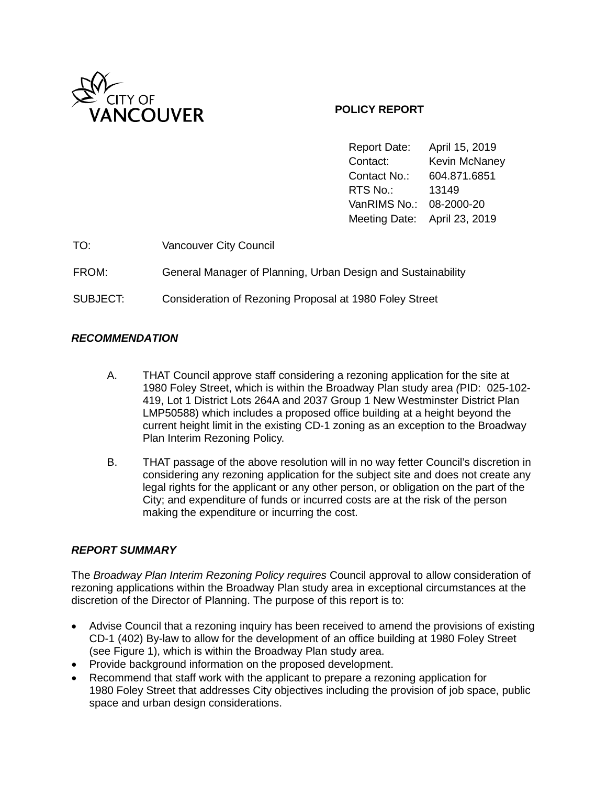

### **POLICY REPORT**

Report Date: April 15, 2019 Contact: Kevin McNaney Contact No.: 604.871.6851 RTS No.: 13149 VanRIMS No.: 08-2000-20 Meeting Date: April 23, 2019

| TO:      | <b>Vancouver City Council</b>                                |
|----------|--------------------------------------------------------------|
| FROM:    | General Manager of Planning, Urban Design and Sustainability |
| SUBJECT: | Consideration of Rezoning Proposal at 1980 Foley Street      |

### *RECOMMENDATION*

- A. THAT Council approve staff considering a rezoning application for the site at 1980 Foley Street, which is within the Broadway Plan study area *(*PID: 025-102- 419, Lot 1 District Lots 264A and 2037 Group 1 New Westminster District Plan LMP50588) which includes a proposed office building at a height beyond the current height limit in the existing CD-1 zoning as an exception to the Broadway Plan Interim Rezoning Policy.
- B. THAT passage of the above resolution will in no way fetter Council's discretion in considering any rezoning application for the subject site and does not create any legal rights for the applicant or any other person, or obligation on the part of the City; and expenditure of funds or incurred costs are at the risk of the person making the expenditure or incurring the cost.

#### *REPORT SUMMARY*

The *Broadway Plan Interim Rezoning Policy requires* Council approval to allow consideration of rezoning applications within the Broadway Plan study area in exceptional circumstances at the discretion of the Director of Planning. The purpose of this report is to:

- Advise Council that a rezoning inquiry has been received to amend the provisions of existing CD-1 (402) By-law to allow for the development of an office building at 1980 Foley Street (see Figure 1), which is within the Broadway Plan study area.
- Provide background information on the proposed development.
- Recommend that staff work with the applicant to prepare a rezoning application for 1980 Foley Street that addresses City objectives including the provision of job space, public space and urban design considerations.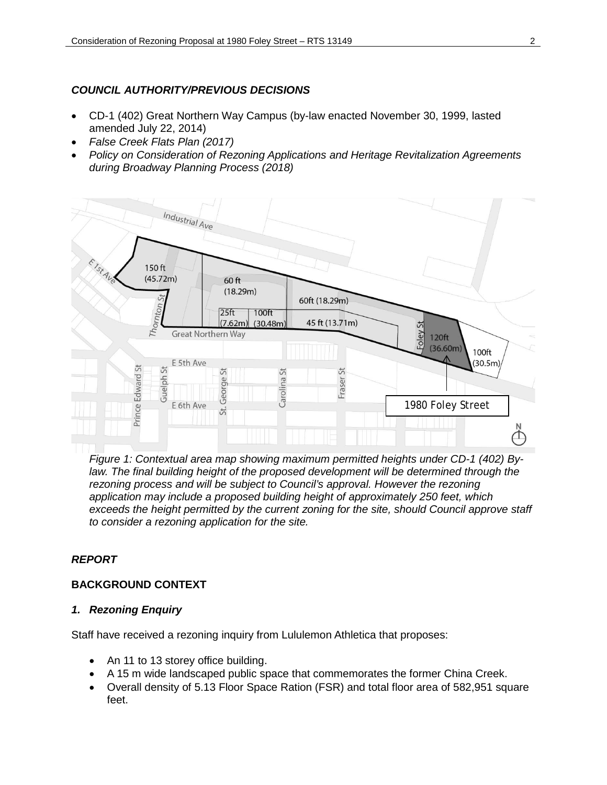# *COUNCIL AUTHORITY/PREVIOUS DECISIONS*

- CD-1 (402) Great Northern Way Campus (by-law enacted November 30, 1999, lasted amended July 22, 2014)
- *False Creek Flats Plan (2017)*
- *Policy on Consideration of Rezoning Applications and Heritage Revitalization Agreements during Broadway Planning Process (2018)*



*Figure 1: Contextual area map showing maximum permitted heights under CD-1 (402) By*law. The final building height of the proposed development will be determined through the *rezoning process and will be subject to Council's approval. However the rezoning application may include a proposed building height of approximately 250 feet, which exceeds the height permitted by the current zoning for the site, should Council approve staff to consider a rezoning application for the site.*

# *REPORT*

# **BACKGROUND CONTEXT**

# *1. Rezoning Enquiry*

Staff have received a rezoning inquiry from Lululemon Athletica that proposes:

- An 11 to 13 storey office building.
- A 15 m wide landscaped public space that commemorates the former China Creek.
- Overall density of 5.13 Floor Space Ration (FSR) and total floor area of 582,951 square feet.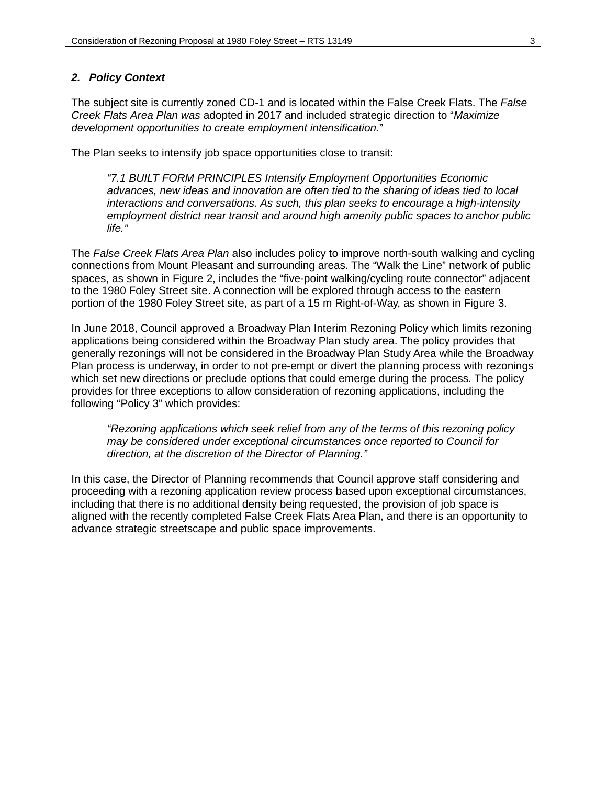#### *2. Policy Context*

The subject site is currently zoned CD-1 and is located within the False Creek Flats. The *False Creek Flats Area Plan was* adopted in 2017 and included strategic direction to "*Maximize development opportunities to create employment intensification.*"

The Plan seeks to intensify job space opportunities close to transit:

*"7.1 BUILT FORM PRINCIPLES Intensify Employment Opportunities Economic advances, new ideas and innovation are often tied to the sharing of ideas tied to local interactions and conversations. As such, this plan seeks to encourage a high-intensity employment district near transit and around high amenity public spaces to anchor public life."*

The *False Creek Flats Area Plan* also includes policy to improve north-south walking and cycling connections from Mount Pleasant and surrounding areas. The "Walk the Line" network of public spaces, as shown in Figure 2, includes the "five-point walking/cycling route connector" adjacent to the 1980 Foley Street site. A connection will be explored through access to the eastern portion of the 1980 Foley Street site, as part of a 15 m Right-of-Way, as shown in Figure 3.

In June 2018, Council approved a Broadway Plan Interim Rezoning Policy which limits rezoning applications being considered within the Broadway Plan study area. The policy provides that generally rezonings will not be considered in the Broadway Plan Study Area while the Broadway Plan process is underway, in order to not pre-empt or divert the planning process with rezonings which set new directions or preclude options that could emerge during the process. The policy provides for three exceptions to allow consideration of rezoning applications, including the following "Policy 3" which provides:

*"Rezoning applications which seek relief from any of the terms of this rezoning policy may be considered under exceptional circumstances once reported to Council for direction, at the discretion of the Director of Planning."*

In this case, the Director of Planning recommends that Council approve staff considering and proceeding with a rezoning application review process based upon exceptional circumstances, including that there is no additional density being requested, the provision of job space is aligned with the recently completed False Creek Flats Area Plan, and there is an opportunity to advance strategic streetscape and public space improvements.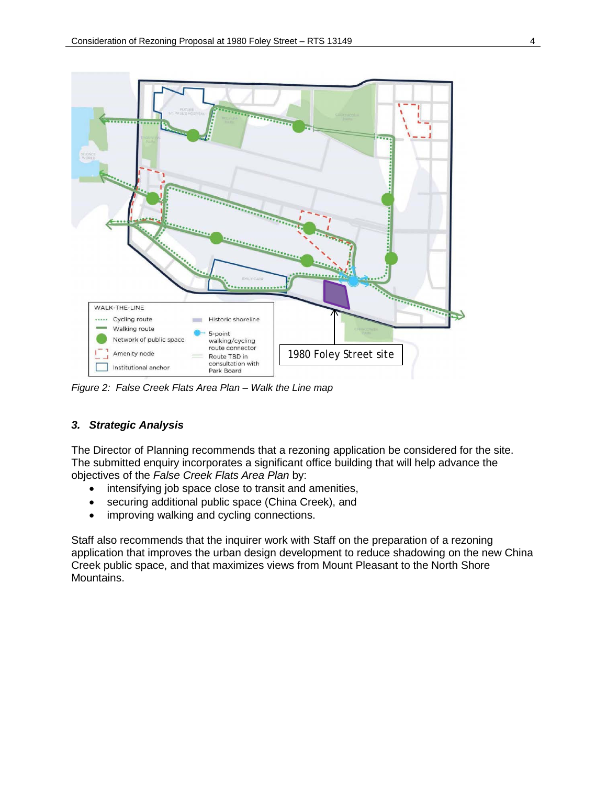

*Figure 2: False Creek Flats Area Plan – Walk the Line map*

# *3. Strategic Analysis*

The Director of Planning recommends that a rezoning application be considered for the site. The submitted enquiry incorporates a significant office building that will help advance the objectives of the *False Creek Flats Area Plan* by:

- intensifying job space close to transit and amenities,
- securing additional public space (China Creek), and
- improving walking and cycling connections.

Staff also recommends that the inquirer work with Staff on the preparation of a rezoning application that improves the urban design development to reduce shadowing on the new China Creek public space, and that maximizes views from Mount Pleasant to the North Shore Mountains.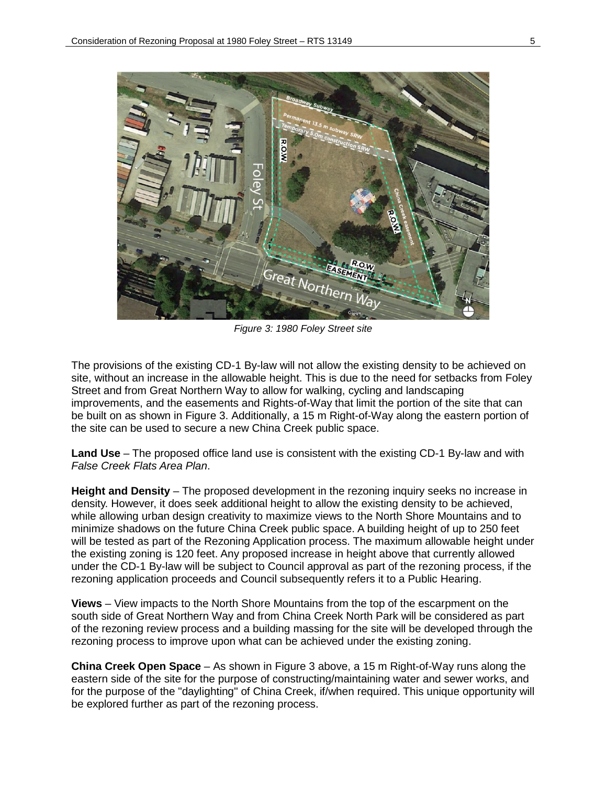

*Figure 3: 1980 Foley Street site*

The provisions of the existing CD-1 By-law will not allow the existing density to be achieved on site, without an increase in the allowable height. This is due to the need for setbacks from Foley Street and from Great Northern Way to allow for walking, cycling and landscaping improvements, and the easements and Rights-of-Way that limit the portion of the site that can be built on as shown in Figure 3. Additionally, a 15 m Right-of-Way along the eastern portion of the site can be used to secure a new China Creek public space.

**Land Use** – The proposed office land use is consistent with the existing CD-1 By-law and with *False Creek Flats Area Plan*.

**Height and Density** – The proposed development in the rezoning inquiry seeks no increase in density. However, it does seek additional height to allow the existing density to be achieved, while allowing urban design creativity to maximize views to the North Shore Mountains and to minimize shadows on the future China Creek public space. A building height of up to 250 feet will be tested as part of the Rezoning Application process. The maximum allowable height under the existing zoning is 120 feet. Any proposed increase in height above that currently allowed under the CD-1 By-law will be subject to Council approval as part of the rezoning process, if the rezoning application proceeds and Council subsequently refers it to a Public Hearing.

**Views** – View impacts to the North Shore Mountains from the top of the escarpment on the south side of Great Northern Way and from China Creek North Park will be considered as part of the rezoning review process and a building massing for the site will be developed through the rezoning process to improve upon what can be achieved under the existing zoning.

**China Creek Open Space** – As shown in Figure 3 above, a 15 m Right-of-Way runs along the eastern side of the site for the purpose of constructing/maintaining water and sewer works, and for the purpose of the "daylighting" of China Creek, if/when required. This unique opportunity will be explored further as part of the rezoning process.